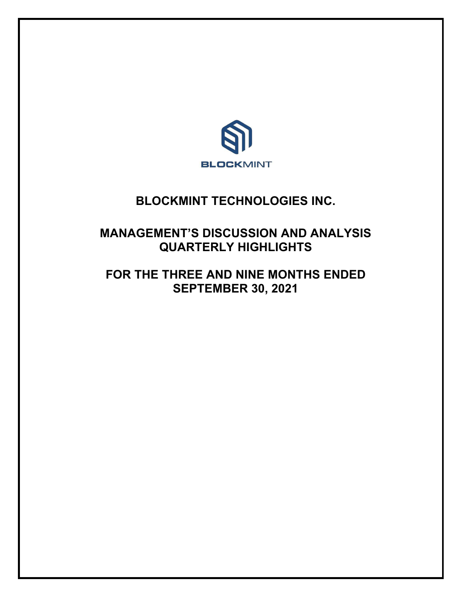

# **BLOCKMINT TECHNOLOGIES INC.**

# **MANAGEMENT'S DISCUSSION AND ANALYSIS QUARTERLY HIGHLIGHTS**

# **FOR THE THREE AND NINE MONTHS ENDED SEPTEMBER 30, 2021**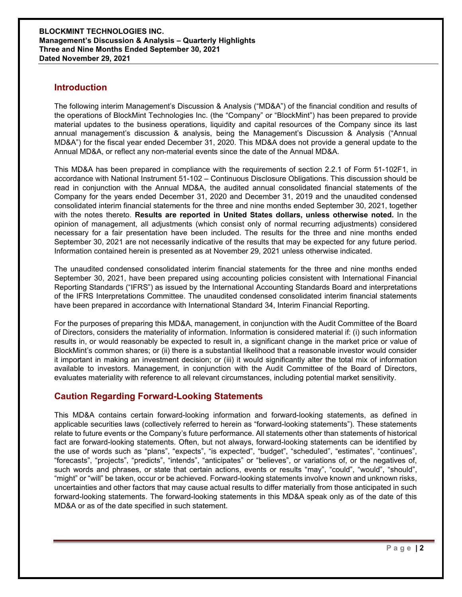# **Introduction**

The following interim Management's Discussion & Analysis ("MD&A") of the financial condition and results of the operations of BlockMint Technologies Inc. (the "Company" or "BlockMint") has been prepared to provide material updates to the business operations, liquidity and capital resources of the Company since its last annual management's discussion & analysis, being the Management's Discussion & Analysis ("Annual MD&A") for the fiscal year ended December 31, 2020. This MD&A does not provide a general update to the Annual MD&A, or reflect any non-material events since the date of the Annual MD&A.

This MD&A has been prepared in compliance with the requirements of section 2.2.1 of Form 51-102F1, in accordance with National Instrument 51-102 – Continuous Disclosure Obligations. This discussion should be read in conjunction with the Annual MD&A, the audited annual consolidated financial statements of the Company for the years ended December 31, 2020 and December 31, 2019 and the unaudited condensed consolidated interim financial statements for the three and nine months ended September 30, 2021, together with the notes thereto. **Results are reported in United States dollars, unless otherwise noted.** In the opinion of management, all adjustments (which consist only of normal recurring adjustments) considered necessary for a fair presentation have been included. The results for the three and nine months ended September 30, 2021 are not necessarily indicative of the results that may be expected for any future period. Information contained herein is presented as at November 29, 2021 unless otherwise indicated.

The unaudited condensed consolidated interim financial statements for the three and nine months ended September 30, 2021, have been prepared using accounting policies consistent with International Financial Reporting Standards ("IFRS") as issued by the International Accounting Standards Board and interpretations of the IFRS Interpretations Committee. The unaudited condensed consolidated interim financial statements have been prepared in accordance with International Standard 34, Interim Financial Reporting.

For the purposes of preparing this MD&A, management, in conjunction with the Audit Committee of the Board of Directors, considers the materiality of information. Information is considered material if: (i) such information results in, or would reasonably be expected to result in, a significant change in the market price or value of BlockMint's common shares; or (ii) there is a substantial likelihood that a reasonable investor would consider it important in making an investment decision; or (iii) it would significantly alter the total mix of information available to investors. Management, in conjunction with the Audit Committee of the Board of Directors, evaluates materiality with reference to all relevant circumstances, including potential market sensitivity.

# **Caution Regarding Forward-Looking Statements**

This MD&A contains certain forward-looking information and forward-looking statements, as defined in applicable securities laws (collectively referred to herein as "forward-looking statements"). These statements relate to future events or the Company's future performance. All statements other than statements of historical fact are forward-looking statements. Often, but not always, forward-looking statements can be identified by the use of words such as "plans", "expects", "is expected", "budget", "scheduled", "estimates", "continues", "forecasts", "projects", "predicts", "intends", "anticipates" or "believes", or variations of, or the negatives of, such words and phrases, or state that certain actions, events or results "may", "could", "would", "should", "might" or "will" be taken, occur or be achieved. Forward-looking statements involve known and unknown risks, uncertainties and other factors that may cause actual results to differ materially from those anticipated in such forward-looking statements. The forward-looking statements in this MD&A speak only as of the date of this MD&A or as of the date specified in such statement.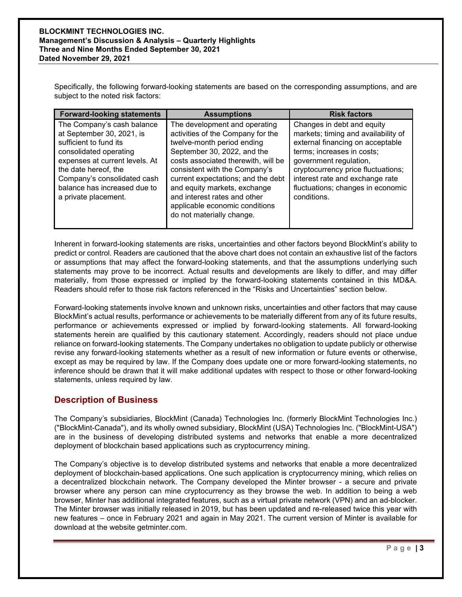Specifically, the following forward-looking statements are based on the corresponding assumptions, and are subject to the noted risk factors:

| <b>Forward-looking statements</b>                                                                                                                                                                                                                            | <b>Assumptions</b>                                                                                                                                                                                                                                                                                                                                                           | <b>Risk factors</b>                                                                                                                                                                                                                                                                        |
|--------------------------------------------------------------------------------------------------------------------------------------------------------------------------------------------------------------------------------------------------------------|------------------------------------------------------------------------------------------------------------------------------------------------------------------------------------------------------------------------------------------------------------------------------------------------------------------------------------------------------------------------------|--------------------------------------------------------------------------------------------------------------------------------------------------------------------------------------------------------------------------------------------------------------------------------------------|
| The Company's cash balance<br>at September 30, 2021, is<br>sufficient to fund its<br>consolidated operating<br>expenses at current levels. At<br>the date hereof, the<br>Company's consolidated cash<br>balance has increased due to<br>a private placement. | The development and operating<br>activities of the Company for the<br>twelve-month period ending<br>September 30, 2022, and the<br>costs associated therewith, will be<br>consistent with the Company's<br>current expectations; and the debt<br>and equity markets, exchange<br>and interest rates and other<br>applicable economic conditions<br>do not materially change. | Changes in debt and equity<br>markets; timing and availability of<br>external financing on acceptable<br>terms; increases in costs;<br>government regulation,<br>cryptocurrency price fluctuations;<br>interest rate and exchange rate<br>fluctuations; changes in economic<br>conditions. |

Inherent in forward-looking statements are risks, uncertainties and other factors beyond BlockMint's ability to predict or control. Readers are cautioned that the above chart does not contain an exhaustive list of the factors or assumptions that may affect the forward-looking statements, and that the assumptions underlying such statements may prove to be incorrect. Actual results and developments are likely to differ, and may differ materially, from those expressed or implied by the forward-looking statements contained in this MD&A. Readers should refer to those risk factors referenced in the "Risks and Uncertainties" section below.

Forward-looking statements involve known and unknown risks, uncertainties and other factors that may cause BlockMint's actual results, performance or achievements to be materially different from any of its future results, performance or achievements expressed or implied by forward-looking statements. All forward-looking statements herein are qualified by this cautionary statement. Accordingly, readers should not place undue reliance on forward-looking statements. The Company undertakes no obligation to update publicly or otherwise revise any forward-looking statements whether as a result of new information or future events or otherwise, except as may be required by law. If the Company does update one or more forward-looking statements, no inference should be drawn that it will make additional updates with respect to those or other forward-looking statements, unless required by law.

# **Description of Business**

The Company's subsidiaries, BlockMint (Canada) Technologies Inc. (formerly BlockMint Technologies Inc.) ("BlockMint-Canada"), and its wholly owned subsidiary, BlockMint (USA) Technologies Inc. ("BlockMint-USA") are in the business of developing distributed systems and networks that enable a more decentralized deployment of blockchain based applications such as cryptocurrency mining.

The Company's objective is to develop distributed systems and networks that enable a more decentralized deployment of blockchain-based applications. One such application is cryptocurrency mining, which relies on a decentralized blockchain network. The Company developed the Minter browser - a secure and private browser where any person can mine cryptocurrency as they browse the web. In addition to being a web browser, Minter has additional integrated features, such as a virtual private network (VPN) and an ad-blocker. The Minter browser was initially released in 2019, but has been updated and re-released twice this year with new features – once in February 2021 and again in May 2021. The current version of Minter is available for download at the website getminter.com.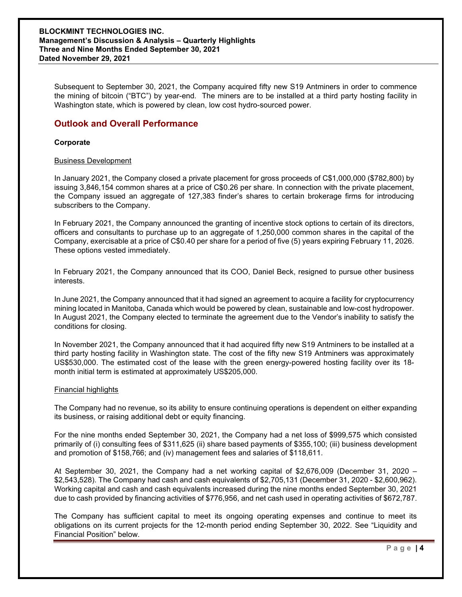Subsequent to September 30, 2021, the Company acquired fifty new S19 Antminers in order to commence the mining of bitcoin ("BTC") by year-end. The miners are to be installed at a third party hosting facility in Washington state, which is powered by clean, low cost hydro-sourced power.

# **Outlook and Overall Performance**

### **Corporate**

#### Business Development

In January 2021, the Company closed a private placement for gross proceeds of C\$1,000,000 (\$782,800) by issuing 3,846,154 common shares at a price of C\$0.26 per share. In connection with the private placement, the Company issued an aggregate of 127,383 finder's shares to certain brokerage firms for introducing subscribers to the Company.

In February 2021, the Company announced the granting of incentive stock options to certain of its directors, officers and consultants to purchase up to an aggregate of 1,250,000 common shares in the capital of the Company, exercisable at a price of C\$0.40 per share for a period of five (5) years expiring February 11, 2026. These options vested immediately.

In February 2021, the Company announced that its COO, Daniel Beck, resigned to pursue other business interests.

In June 2021, the Company announced that it had signed an agreement to acquire a facility for cryptocurrency mining located in Manitoba, Canada which would be powered by clean, sustainable and low-cost hydropower. In August 2021, the Company elected to terminate the agreement due to the Vendor's inability to satisfy the conditions for closing.

In November 2021, the Company announced that it had acquired fifty new S19 Antminers to be installed at a third party hosting facility in Washington state. The cost of the fifty new S19 Antminers was approximately US\$530,000. The estimated cost of the lease with the green energy-powered hosting facility over its 18 month initial term is estimated at approximately US\$205,000.

#### Financial highlights

The Company had no revenue, so its ability to ensure continuing operations is dependent on either expanding its business, or raising additional debt or equity financing.

For the nine months ended September 30, 2021, the Company had a net loss of \$999,575 which consisted primarily of (i) consulting fees of \$311,625 (ii) share based payments of \$355,100; (iii) business development and promotion of \$158,766; and (iv) management fees and salaries of \$118,611.

At September 30, 2021, the Company had a net working capital of \$2,676,009 (December 31, 2020 – \$2,543,528). The Company had cash and cash equivalents of \$2,705,131 (December 31, 2020 - \$2,600,962). Working capital and cash and cash equivalents increased during the nine months ended September 30, 2021 due to cash provided by financing activities of \$776,956, and net cash used in operating activities of \$672,787.

The Company has sufficient capital to meet its ongoing operating expenses and continue to meet its obligations on its current projects for the 12-month period ending September 30, 2022. See "Liquidity and Financial Position" below.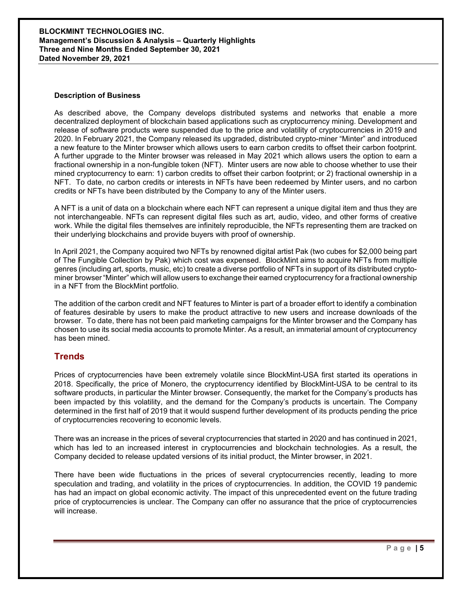#### **BLOCKMINT TECHNOLOGIES INC. Management's Discussion & Analysis – Quarterly Highlights Three and Nine Months Ended September 30, 2021 Dated November 29, 2021**

#### **Description of Business**

As described above, the Company develops distributed systems and networks that enable a more decentralized deployment of blockchain based applications such as cryptocurrency mining. Development and release of software products were suspended due to the price and volatility of cryptocurrencies in 2019 and 2020. In February 2021, the Company released its upgraded, distributed crypto-miner "Minter" and introduced a new feature to the Minter browser which allows users to earn carbon credits to offset their carbon footprint. A further upgrade to the Minter browser was released in May 2021 which allows users the option to earn a fractional ownership in a non-fungible token (NFT). Minter users are now able to choose whether to use their mined cryptocurrency to earn: 1) carbon credits to offset their carbon footprint; or 2) fractional ownership in a NFT. To date, no carbon credits or interests in NFTs have been redeemed by Minter users, and no carbon credits or NFTs have been distributed by the Company to any of the Minter users.

A NFT is a unit of data on a blockchain where each NFT can represent a unique digital item and thus they are not interchangeable. NFTs can represent digital files such as art, audio, video, and other forms of creative work. While the digital files themselves are infinitely reproducible, the NFTs representing them are tracked on their underlying blockchains and provide buyers with proof of ownership.

In April 2021, the Company acquired two NFTs by renowned digital artist Pak (two cubes for \$2,000 being part of The Fungible Collection by Pak) which cost was expensed. BlockMint aims to acquire NFTs from multiple genres (including art, sports, music, etc) to create a diverse portfolio of NFTs in support of its distributed cryptominer browser "Minter" which will allow users to exchange their earned cryptocurrency for a fractional ownership in a NFT from the BlockMint portfolio.

The addition of the carbon credit and NFT features to Minter is part of a broader effort to identify a combination of features desirable by users to make the product attractive to new users and increase downloads of the browser. To date, there has not been paid marketing campaigns for the Minter browser and the Company has chosen to use its social media accounts to promote Minter. As a result, an immaterial amount of cryptocurrency has been mined.

## **Trends**

Prices of cryptocurrencies have been extremely volatile since BlockMint-USA first started its operations in 2018. Specifically, the price of Monero, the cryptocurrency identified by BlockMint-USA to be central to its software products, in particular the Minter browser. Consequently, the market for the Company's products has been impacted by this volatility, and the demand for the Company's products is uncertain. The Company determined in the first half of 2019 that it would suspend further development of its products pending the price of cryptocurrencies recovering to economic levels.

There was an increase in the prices of several cryptocurrencies that started in 2020 and has continued in 2021, which has led to an increased interest in cryptocurrencies and blockchain technologies. As a result, the Company decided to release updated versions of its initial product, the Minter browser, in 2021.

There have been wide fluctuations in the prices of several cryptocurrencies recently, leading to more speculation and trading, and volatility in the prices of cryptocurrencies. In addition, the COVID 19 pandemic has had an impact on global economic activity. The impact of this unprecedented event on the future trading price of cryptocurrencies is unclear. The Company can offer no assurance that the price of cryptocurrencies will increase.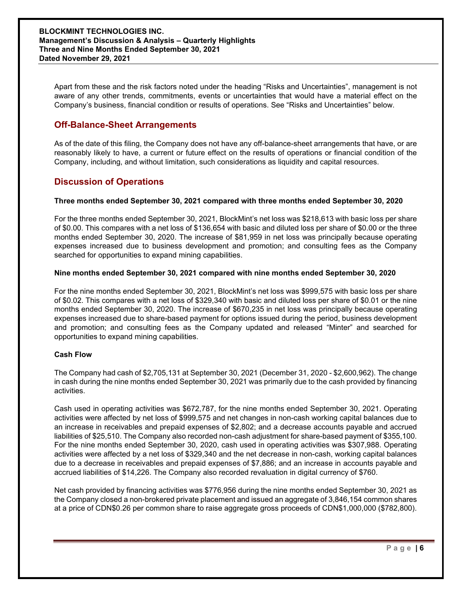Apart from these and the risk factors noted under the heading "Risks and Uncertainties", management is not aware of any other trends, commitments, events or uncertainties that would have a material effect on the Company's business, financial condition or results of operations. See "Risks and Uncertainties" below.

# **Off-Balance-Sheet Arrangements**

As of the date of this filing, the Company does not have any off-balance-sheet arrangements that have, or are reasonably likely to have, a current or future effect on the results of operations or financial condition of the Company, including, and without limitation, such considerations as liquidity and capital resources.

# **Discussion of Operations**

## **Three months ended September 30, 2021 compared with three months ended September 30, 2020**

For the three months ended September 30, 2021, BlockMint's net loss was \$218,613 with basic loss per share of \$0.00. This compares with a net loss of \$136,654 with basic and diluted loss per share of \$0.00 or the three months ended September 30, 2020. The increase of \$81,959 in net loss was principally because operating expenses increased due to business development and promotion; and consulting fees as the Company searched for opportunities to expand mining capabilities.

## **Nine months ended September 30, 2021 compared with nine months ended September 30, 2020**

For the nine months ended September 30, 2021, BlockMint's net loss was \$999,575 with basic loss per share of \$0.02. This compares with a net loss of \$329,340 with basic and diluted loss per share of \$0.01 or the nine months ended September 30, 2020. The increase of \$670,235 in net loss was principally because operating expenses increased due to share-based payment for options issued during the period, business development and promotion; and consulting fees as the Company updated and released "Minter" and searched for opportunities to expand mining capabilities.

## **Cash Flow**

The Company had cash of \$2,705,131 at September 30, 2021 (December 31, 2020 - \$2,600,962). The change in cash during the nine months ended September 30, 2021 was primarily due to the cash provided by financing activities.

Cash used in operating activities was \$672,787, for the nine months ended September 30, 2021. Operating activities were affected by net loss of \$999,575 and net changes in non-cash working capital balances due to an increase in receivables and prepaid expenses of \$2,802; and a decrease accounts payable and accrued liabilities of \$25,510. The Company also recorded non-cash adjustment for share-based payment of \$355,100. For the nine months ended September 30, 2020, cash used in operating activities was \$307,988. Operating activities were affected by a net loss of \$329,340 and the net decrease in non-cash, working capital balances due to a decrease in receivables and prepaid expenses of \$7,886; and an increase in accounts payable and accrued liabilities of \$14,226. The Company also recorded revaluation in digital currency of \$760.

Net cash provided by financing activities was \$776,956 during the nine months ended September 30, 2021 as the Company closed a non-brokered private placement and issued an aggregate of 3,846,154 common shares at a price of CDN\$0.26 per common share to raise aggregate gross proceeds of CDN\$1,000,000 (\$782,800).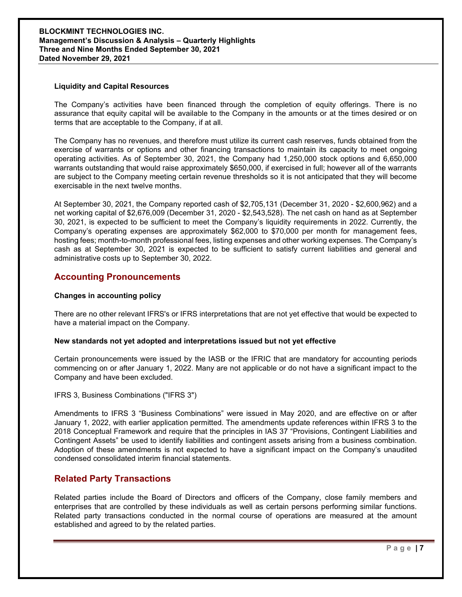### **BLOCKMINT TECHNOLOGIES INC. Management's Discussion & Analysis – Quarterly Highlights Three and Nine Months Ended September 30, 2021 Dated November 29, 2021**

#### **Liquidity and Capital Resources**

The Company's activities have been financed through the completion of equity offerings. There is no assurance that equity capital will be available to the Company in the amounts or at the times desired or on terms that are acceptable to the Company, if at all.

The Company has no revenues, and therefore must utilize its current cash reserves, funds obtained from the exercise of warrants or options and other financing transactions to maintain its capacity to meet ongoing operating activities. As of September 30, 2021, the Company had 1,250,000 stock options and 6,650,000 warrants outstanding that would raise approximately \$650,000, if exercised in full; however all of the warrants are subject to the Company meeting certain revenue thresholds so it is not anticipated that they will become exercisable in the next twelve months.

At September 30, 2021, the Company reported cash of \$2,705,131 (December 31, 2020 - \$2,600,962) and a net working capital of \$2,676,009 (December 31, 2020 - \$2,543,528). The net cash on hand as at September 30, 2021, is expected to be sufficient to meet the Company's liquidity requirements in 2022. Currently, the Company's operating expenses are approximately \$62,000 to \$70,000 per month for management fees, hosting fees; month-to-month professional fees, listing expenses and other working expenses. The Company's cash as at September 30, 2021 is expected to be sufficient to satisfy current liabilities and general and administrative costs up to September 30, 2022.

## **Accounting Pronouncements**

#### **Changes in accounting policy**

There are no other relevant IFRS's or IFRS interpretations that are not yet effective that would be expected to have a material impact on the Company.

#### **New standards not yet adopted and interpretations issued but not yet effective**

Certain pronouncements were issued by the IASB or the IFRIC that are mandatory for accounting periods commencing on or after January 1, 2022. Many are not applicable or do not have a significant impact to the Company and have been excluded.

#### IFRS 3, Business Combinations ("IFRS 3")

Amendments to IFRS 3 "Business Combinations" were issued in May 2020, and are effective on or after January 1, 2022, with earlier application permitted. The amendments update references within IFRS 3 to the 2018 Conceptual Framework and require that the principles in IAS 37 "Provisions, Contingent Liabilities and Contingent Assets" be used to identify liabilities and contingent assets arising from a business combination. Adoption of these amendments is not expected to have a significant impact on the Company's unaudited condensed consolidated interim financial statements.

## **Related Party Transactions**

Related parties include the Board of Directors and officers of the Company, close family members and enterprises that are controlled by these individuals as well as certain persons performing similar functions. Related party transactions conducted in the normal course of operations are measured at the amount established and agreed to by the related parties.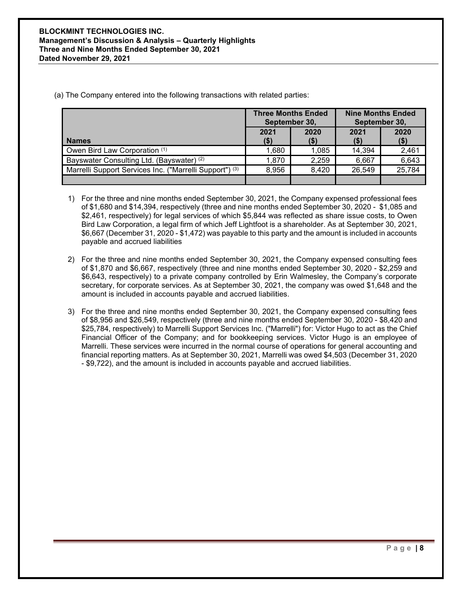(a) The Company entered into the following transactions with related parties:

|                                                         | <b>Three Months Ended</b><br>September 30, |              | <b>Nine Months Ended</b><br>September 30, |                 |
|---------------------------------------------------------|--------------------------------------------|--------------|-------------------------------------------|-----------------|
| <b>Names</b>                                            | 2021<br>$($ \$)                            | 2020<br>(\$) | 2021<br>$($ \$                            | 2020<br>$($ \$) |
| Owen Bird Law Corporation (1)                           | ,680                                       | 1,085        | 14,394                                    | 2,461           |
| Bayswater Consulting Ltd. (Bayswater) (2)               | 1,870                                      | 2,259        | 6,667                                     | 6,643           |
| Marrelli Support Services Inc. ("Marrelli Support") (3) | 8,956                                      | 8,420        | 26,549                                    | 25,784          |
|                                                         |                                            |              |                                           |                 |

- 1) For the three and nine months ended September 30, 2021, the Company expensed professional fees of \$1,680 and \$14,394, respectively (three and nine months ended September 30, 2020 - \$1,085 and \$2,461, respectively) for legal services of which \$5,844 was reflected as share issue costs, to Owen Bird Law Corporation, a legal firm of which Jeff Lightfoot is a shareholder. As at September 30, 2021, \$6,667 (December 31, 2020 - \$1,472) was payable to this party and the amount is included in accounts payable and accrued liabilities
- 2) For the three and nine months ended September 30, 2021, the Company expensed consulting fees of \$1,870 and \$6,667, respectively (three and nine months ended September 30, 2020 - \$2,259 and \$6,643, respectively) to a private company controlled by Erin Walmesley, the Company's corporate secretary, for corporate services. As at September 30, 2021, the company was owed \$1,648 and the amount is included in accounts payable and accrued liabilities.
- 3) For the three and nine months ended September 30, 2021, the Company expensed consulting fees of \$8,956 and \$26,549, respectively (three and nine months ended September 30, 2020 - \$8,420 and \$25,784, respectively) to Marrelli Support Services Inc. ("Marrelli") for: Victor Hugo to act as the Chief Financial Officer of the Company; and for bookkeeping services. Victor Hugo is an employee of Marrelli. These services were incurred in the normal course of operations for general accounting and financial reporting matters. As at September 30, 2021, Marrelli was owed \$4,503 (December 31, 2020 - \$9,722), and the amount is included in accounts payable and accrued liabilities.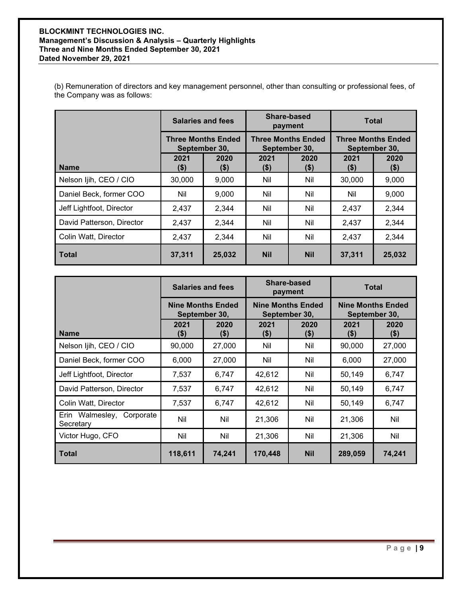### **BLOCKMINT TECHNOLOGIES INC. Management's Discussion & Analysis – Quarterly Highlights Three and Nine Months Ended September 30, 2021 Dated November 29, 2021**

(b) Remuneration of directors and key management personnel, other than consulting or professional fees, of the Company was as follows:

|                           | <b>Salaries and fees</b><br><b>Three Months Ended</b><br>September 30, |                | Share-based<br>payment<br><b>Three Months Ended</b><br>September 30, |                 | <b>Total</b>                               |              |
|---------------------------|------------------------------------------------------------------------|----------------|----------------------------------------------------------------------|-----------------|--------------------------------------------|--------------|
|                           |                                                                        |                |                                                                      |                 | <b>Three Months Ended</b><br>September 30, |              |
| <b>Name</b>               | 2021<br>\$)                                                            | 2020<br>$($ \$ | 2021<br>\$)                                                          | 2020<br>$($ \$) | 2021<br>(\$)                               | 2020<br>(\$) |
| Nelson Ijih, CEO / CIO    | 30,000                                                                 | 9,000          | Nil                                                                  | Nil             | 30,000                                     | 9,000        |
| Daniel Beck, former COO   | Nil                                                                    | 9,000          | Nil                                                                  | Nil             | Nil                                        | 9,000        |
| Jeff Lightfoot, Director  | 2,437                                                                  | 2,344          | Nil                                                                  | Nil             | 2,437                                      | 2,344        |
| David Patterson, Director | 2,437                                                                  | 2,344          | Nil                                                                  | Nil             | 2,437                                      | 2,344        |
| Colin Watt, Director      | 2,437                                                                  | 2,344          | Nil                                                                  | Nil             | 2,437                                      | 2,344        |
| l Total                   | 37,311                                                                 | 25,032         | <b>Nil</b>                                                           | <b>Nil</b>      | 37,311                                     | 25,032       |

|                                        | <b>Salaries and fees</b><br><b>Nine Months Ended</b><br>September 30, |                 | Share-based<br>payment<br><b>Nine Months Ended</b><br>September 30, |             | <b>Total</b>                              |             |
|----------------------------------------|-----------------------------------------------------------------------|-----------------|---------------------------------------------------------------------|-------------|-------------------------------------------|-------------|
|                                        |                                                                       |                 |                                                                     |             | <b>Nine Months Ended</b><br>September 30, |             |
| <b>Name</b>                            | 2021<br>\$)                                                           | 2020<br>$($ \$) | 2021<br>$($ \$)                                                     | 2020<br>\$) | 2021<br>$($ \$)                           | 2020<br>\$) |
| Nelson Ijih, CEO / CIO                 | 90,000                                                                | 27,000          | Nil                                                                 | Nil         | 90,000                                    | 27,000      |
| Daniel Beck, former COO                | 6,000                                                                 | 27,000          | Nil                                                                 | Nil         | 6,000                                     | 27,000      |
| Jeff Lightfoot, Director               | 7,537                                                                 | 6,747           | 42,612                                                              | Nil         | 50,149                                    | 6,747       |
| David Patterson, Director              | 7,537                                                                 | 6,747           | 42,612                                                              | Nil         | 50,149                                    | 6,747       |
| Colin Watt, Director                   | 7,537                                                                 | 6,747           | 42,612                                                              | Nil         | 50,149                                    | 6,747       |
| Erin Walmesley, Corporate<br>Secretary | Nil                                                                   | Nil             | 21,306                                                              | Nil         | 21,306                                    | Nil         |
| Victor Hugo, CFO                       | Nil                                                                   | Nil             | 21,306                                                              | Nil         | 21,306                                    | Nil         |
| Total                                  | 118,611                                                               | 74,241          | 170,448                                                             | <b>Nil</b>  | 289,059                                   | 74,241      |